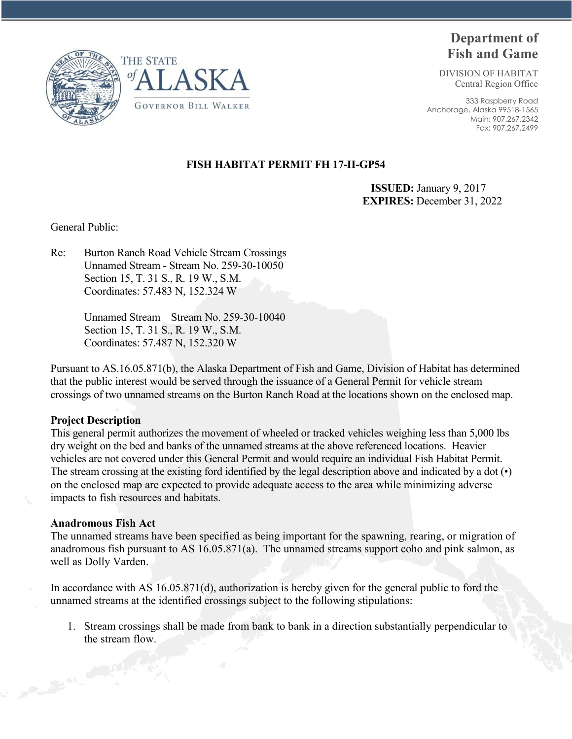



# **Department of Fish and Game**

DIVISION OF HABITAT Central Region Office

333 Raspberry Road Anchorage, Alaska 99518-1565 Main: 907.267.2342 Fax: 907.267.2499

# **FISH HABITAT PERMIT FH 17-II-GP54**

 **ISSUED:** January 9, 2017 **EXPIRES:** December 31, 2022

General Public:

Re: Burton Ranch Road Vehicle Stream Crossings Unnamed Stream - Stream No. 259-30-10050 Section 15, T. 31 S., R. 19 W., S.M. Coordinates: 57.483 N, 152.324 W

> Unnamed Stream – Stream No. 259-30-10040 Section 15, T. 31 S., R. 19 W., S.M. Coordinates: 57.487 N, 152.320 W

Pursuant to AS.16.05.871(b), the Alaska Department of Fish and Game, Division of Habitat has determined that the public interest would be served through the issuance of a General Permit for vehicle stream crossings of two unnamed streams on the Burton Ranch Road at the locations shown on the enclosed map.

# **Project Description**

This general permit authorizes the movement of wheeled or tracked vehicles weighing less than 5,000 lbs dry weight on the bed and banks of the unnamed streams at the above referenced locations. Heavier vehicles are not covered under this General Permit and would require an individual Fish Habitat Permit. The stream crossing at the existing ford identified by the legal description above and indicated by a dot (•) on the enclosed map are expected to provide adequate access to the area while minimizing adverse impacts to fish resources and habitats.

# **Anadromous Fish Act**

The unnamed streams have been specified as being important for the spawning, rearing, or migration of anadromous fish pursuant to AS 16.05.871(a). The unnamed streams support coho and pink salmon, as well as Dolly Varden.

In accordance with AS 16.05.871(d), authorization is hereby given for the general public to ford the unnamed streams at the identified crossings subject to the following stipulations:

1. Stream crossings shall be made from bank to bank in a direction substantially perpendicular to the stream flow.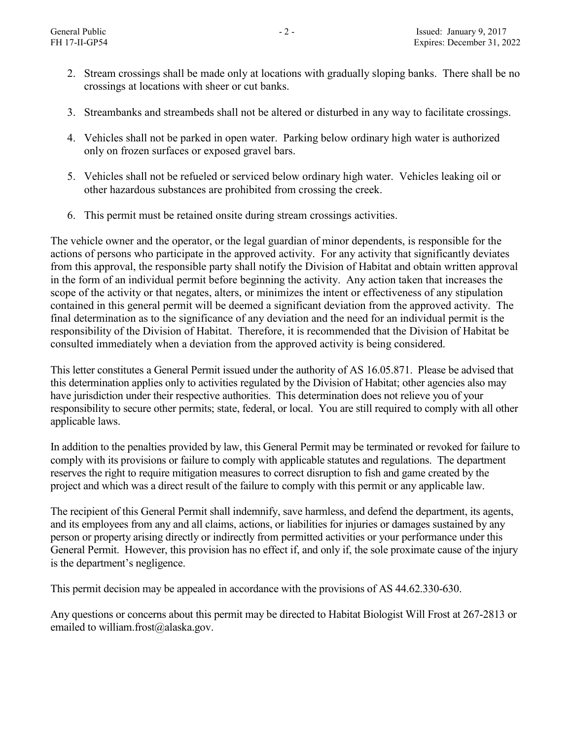- 2. Stream crossings shall be made only at locations with gradually sloping banks. There shall be no crossings at locations with sheer or cut banks.
- 3. Streambanks and streambeds shall not be altered or disturbed in any way to facilitate crossings.
- 4. Vehicles shall not be parked in open water. Parking below ordinary high water is authorized only on frozen surfaces or exposed gravel bars.
- 5. Vehicles shall not be refueled or serviced below ordinary high water. Vehicles leaking oil or other hazardous substances are prohibited from crossing the creek.
- 6. This permit must be retained onsite during stream crossings activities.

The vehicle owner and the operator, or the legal guardian of minor dependents, is responsible for the actions of persons who participate in the approved activity. For any activity that significantly deviates from this approval, the responsible party shall notify the Division of Habitat and obtain written approval in the form of an individual permit before beginning the activity. Any action taken that increases the scope of the activity or that negates, alters, or minimizes the intent or effectiveness of any stipulation contained in this general permit will be deemed a significant deviation from the approved activity. The final determination as to the significance of any deviation and the need for an individual permit is the responsibility of the Division of Habitat. Therefore, it is recommended that the Division of Habitat be consulted immediately when a deviation from the approved activity is being considered.

This letter constitutes a General Permit issued under the authority of AS 16.05.871. Please be advised that this determination applies only to activities regulated by the Division of Habitat; other agencies also may have jurisdiction under their respective authorities. This determination does not relieve you of your responsibility to secure other permits; state, federal, or local. You are still required to comply with all other applicable laws.

In addition to the penalties provided by law, this General Permit may be terminated or revoked for failure to comply with its provisions or failure to comply with applicable statutes and regulations. The department reserves the right to require mitigation measures to correct disruption to fish and game created by the project and which was a direct result of the failure to comply with this permit or any applicable law.

The recipient of this General Permit shall indemnify, save harmless, and defend the department, its agents, and its employees from any and all claims, actions, or liabilities for injuries or damages sustained by any person or property arising directly or indirectly from permitted activities or your performance under this General Permit. However, this provision has no effect if, and only if, the sole proximate cause of the injury is the department's negligence.

This permit decision may be appealed in accordance with the provisions of AS 44.62.330-630.

Any questions or concerns about this permit may be directed to Habitat Biologist Will Frost at 267-2813 or emailed to william.frost@alaska.gov.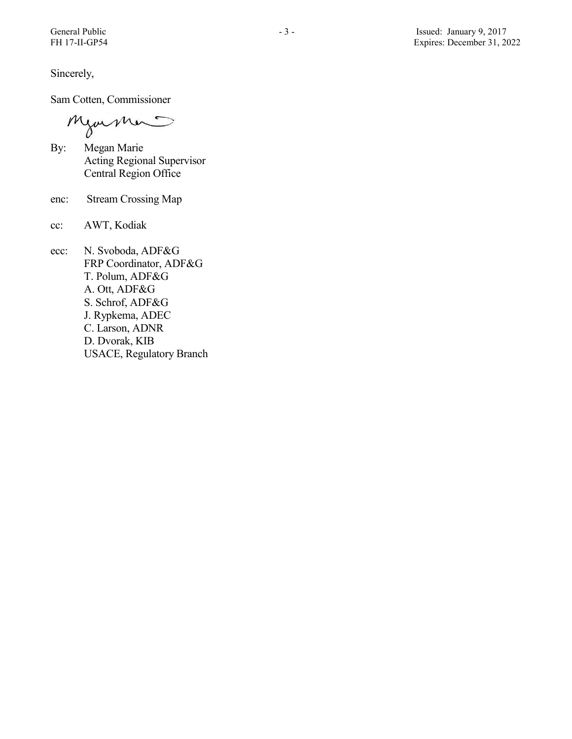Sincerely,

Sam Cotten, Commissioner

Mjormer

- By: Megan Marie Acting Regional Supervisor Central Region Office
- enc: Stream Crossing Map
- cc: AWT, Kodiak
- ecc: N. Svoboda, ADF&G FRP Coordinator, ADF&G T. Polum, ADF&G A. Ott, ADF&G S. Schrof, ADF&G J. Rypkema, ADEC C. Larson, ADNR D. Dvorak, KIB USACE, Regulatory Branch